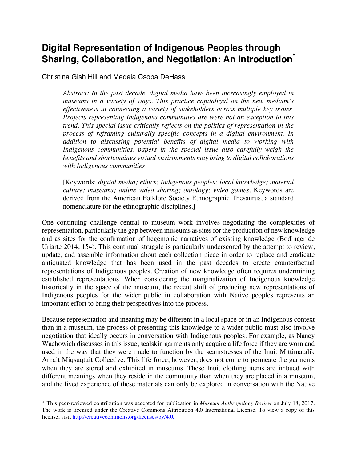# **Digital Representation of Indigenous Peoples through Sharing, Collaboration, and Negotiation: An Introduction\***

Christina Gish Hill and Medeia Csoba DeHass

 $\overline{a}$ 

*Abstract: In the past decade, digital media have been increasingly employed in museums in a variety of ways. This practice capitalized on the new medium's effectiveness in connecting a variety of stakeholders across multiple key issues. Projects representing Indigenous communities are were not an exception to this trend. This special issue critically reflects on the politics of representation in the process of reframing culturally specific concepts in a digital environment. In addition to discussing potential benefits of digital media to working with Indigenous communities, papers in the special issue also carefully weigh the benefits and shortcomings virtual environments may bring to digital collaborations with Indigenous communities.*

[Keywords: *digital media; ethics; Indigenous peoples; local knowledge; material culture; museums; online video sharing; ontology; video games*. Keywords are derived from the American Folklore Society Ethnographic Thesaurus, a standard nomenclature for the ethnographic disciplines.]

One continuing challenge central to museum work involves negotiating the complexities of representation, particularly the gap between museums as sites for the production of new knowledge and as sites for the confirmation of hegemonic narratives of existing knowledge (Bodinger de Uriarte 2014, 154). This continual struggle is particularly underscored by the attempt to review, update, and assemble information about each collection piece in order to replace and eradicate antiquated knowledge that has been used in the past decades to create counterfactual representations of Indigenous peoples. Creation of new knowledge often requires undermining established representations. When considering the marginalization of Indigenous knowledge historically in the space of the museum, the recent shift of producing new representations of Indigenous peoples for the wider public in collaboration with Native peoples represents an important effort to bring their perspectives into the process.

Because representation and meaning may be different in a local space or in an Indigenous context than in a museum, the process of presenting this knowledge to a wider public must also involve negotiation that ideally occurs in conversation with Indigenous peoples. For example, as Nancy Wachowich discusses in this issue, sealskin garments only acquire a life force if they are worn and used in the way that they were made to function by the seamstresses of the Inuit Mittimatalik Arnait Miqsuqtuit Collective. This life force, however, does not come to permeate the garments when they are stored and exhibited in museums. These Inuit clothing items are imbued with different meanings when they reside in the community than when they are placed in a museum, and the lived experience of these materials can only be explored in conversation with the Native

<sup>\*</sup> This peer-reviewed contribution was accepted for publication in *Museum Anthropology Review* on July 18, 2017. The work is licensed under the Creative Commons Attribution 4.0 International License. To view a copy of this license, visit http://creativecommons.org/licenses/by/4.0/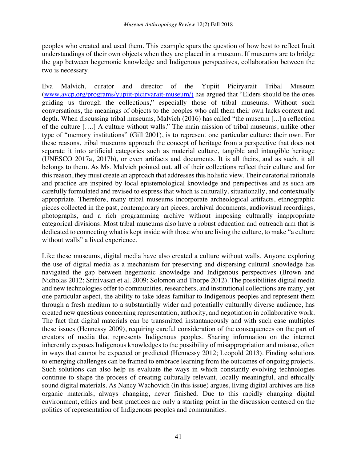peoples who created and used them. This example spurs the question of how best to reflect Inuit understandings of their own objects when they are placed in a museum. If museums are to bridge the gap between hegemonic knowledge and Indigenous perspectives, collaboration between the two is necessary.

Eva Malvich, curator and director of the Yupiit Piciryarait Tribal Museum (www.avcp.org/programs/yupiit-piciryarait-museum/) has argued that "Elders should be the ones guiding us through the collections," especially those of tribal museums. Without such conversations, the meanings of objects to the peoples who call them their own lacks context and depth. When discussing tribal museums, Malvich (2016) has called "the museum [...] a reflection of the culture [….] A culture without walls." The main mission of tribal museums, unlike other type of "memory institutions" (Gill 2001), is to represent one particular culture: their own. For these reasons, tribal museums approach the concept of heritage from a perspective that does not separate it into artificial categories such as material culture, tangible and intangible heritage (UNESCO 2017a, 2017b), or even artifacts and documents. It is all theirs, and as such, it all belongs to them. As Ms. Malvich pointed out, all of their collections reflect their culture and for this reason, they must create an approach that addresses this holistic view. Their curatorial rationale and practice are inspired by local epistemological knowledge and perspectives and as such are carefully formulated and revised to express that which is culturally, situationally, and contextually appropriate. Therefore, many tribal museums incorporate archeological artifacts, ethnographic pieces collected in the past, contemporary art pieces, archival documents, audiovisual recordings, photographs, and a rich programming archive without imposing culturally inappropriate categorical divisions. Most tribal museums also have a robust education and outreach arm that is dedicated to connecting what is kept inside with those who are living the culture, to make "a culture without walls" a lived experience.

Like these museums, digital media have also created a culture without walls. Anyone exploring the use of digital media as a mechanism for preserving and dispersing cultural knowledge has navigated the gap between hegemonic knowledge and Indigenous perspectives (Brown and Nicholas 2012; Srinivasan et al. 2009; Solomon and Thorpe 2012). The possibilities digital media and new technologies offer to communities, researchers, and institutional collections are many, yet one particular aspect, the ability to take ideas familiar to Indigenous peoples and represent them through a fresh medium to a substantially wider and potentially culturally diverse audience, has created new questions concerning representation, authority, and negotiation in collaborative work. The fact that digital materials can be transmitted instantaneously and with such ease multiples these issues (Hennessy 2009), requiring careful consideration of the consequences on the part of creators of media that represents Indigenous peoples. Sharing information on the internet inherently exposes Indigenous knowledges to the possibility of misappropriation and misuse, often in ways that cannot be expected or predicted (Hennessy 2012; Leopold 2013). Finding solutions to emerging challenges can be framed to embrace learning from the outcomes of ongoing projects. Such solutions can also help us evaluate the ways in which constantly evolving technologies continue to shape the process of creating culturally relevant, locally meaningful, and ethically sound digital materials. As Nancy Wachovich (in this issue) argues, living digital archives are like organic materials, always changing, never finished. Due to this rapidly changing digital environment, ethics and best practices are only a starting point in the discussion centered on the politics of representation of Indigenous peoples and communities.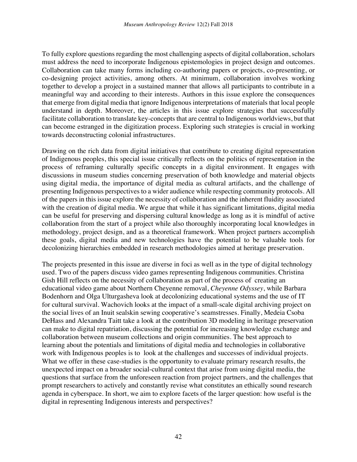To fully explore questions regarding the most challenging aspects of digital collaboration, scholars must address the need to incorporate Indigenous epistemologies in project design and outcomes. Collaboration can take many forms including co-authoring papers or projects, co-presenting, or co-designing project activities, among others. At minimum, collaboration involves working together to develop a project in a sustained manner that allows all participants to contribute in a meaningful way and according to their interests. Authors in this issue explore the consequences that emerge from digital media that ignore Indigenous interpretations of materials that local people understand in depth. Moreover, the articles in this issue explore strategies that successfully facilitate collaboration to translate key-concepts that are central to Indigenous worldviews, but that can become estranged in the digitization process. Exploring such strategies is crucial in working towards deconstructing colonial infrastructures.

Drawing on the rich data from digital initiatives that contribute to creating digital representation of Indigenous peoples, this special issue critically reflects on the politics of representation in the process of reframing culturally specific concepts in a digital environment. It engages with discussions in museum studies concerning preservation of both knowledge and material objects using digital media, the importance of digital media as cultural artifacts, and the challenge of presenting Indigenous perspectives to a wider audience while respecting community protocols. All of the papers in this issue explore the necessity of collaboration and the inherent fluidity associated with the creation of digital media. We argue that while it has significant limitations, digital media can be useful for preserving and dispersing cultural knowledge as long as it is mindful of active collaboration from the start of a project while also thoroughly incorporating local knowledges in methodology, project design, and as a theoretical framework. When project partners accomplish these goals, digital media and new technologies have the potential to be valuable tools for decolonizing hierarchies embedded in research methodologies aimed at heritage preservation.

The projects presented in this issue are diverse in foci as well as in the type of digital technology used. Two of the papers discuss video games representing Indigenous communities. Christina Gish Hill reflects on the necessity of collaboration as part of the process of creating an educational video game about Northern Cheyenne removal, *Cheyenne Odyssey*, while Barbara Bodenhorn and Olga Ulturgasheva look at decolonizing educational systems and the use of IT for cultural survival. Wachovich looks at the impact of a small-scale digital archiving project on the social lives of an Inuit sealskin sewing cooperative's seamstresses. Finally, Medeia Csoba DeHass and Alexandra Taitt take a look at the contribution 3D modeling in heritage preservation can make to digital repatriation, discussing the potential for increasing knowledge exchange and collaboration between museum collections and origin communities. The best approach to learning about the potentials and limitations of digital media and technologies in collaborative work with Indigenous peoples is to look at the challenges and successes of individual projects. What we offer in these case-studies is the opportunity to evaluate primary research results, the unexpected impact on a broader social-cultural context that arise from using digital media, the questions that surface from the unforeseen reaction from project partners, and the challenges that prompt researchers to actively and constantly revise what constitutes an ethically sound research agenda in cyberspace. In short, we aim to explore facets of the larger question: how useful is the digital in representing Indigenous interests and perspectives?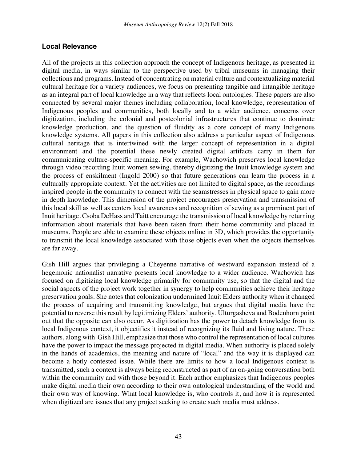#### **Local Relevance**

All of the projects in this collection approach the concept of Indigenous heritage, as presented in digital media, in ways similar to the perspective used by tribal museums in managing their collections and programs. Instead of concentrating on material culture and contextualizing material cultural heritage for a variety audiences, we focus on presenting tangible and intangible heritage as an integral part of local knowledge in a way that reflects local ontologies. These papers are also connected by several major themes including collaboration, local knowledge, representation of Indigenous peoples and communities, both locally and to a wider audience, concerns over digitization, including the colonial and postcolonial infrastructures that continue to dominate knowledge production, and the question of fluidity as a core concept of many Indigenous knowledge systems. All papers in this collection also address a particular aspect of Indigenous cultural heritage that is intertwined with the larger concept of representation in a digital environment and the potential these newly created digital artifacts carry in them for communicating culture-specific meaning. For example, Wachowich preserves local knowledge through video recording Inuit women sewing, thereby digitizing the Inuit knowledge system and the process of enskilment (Ingold 2000) so that future generations can learn the process in a culturally appropriate context. Yet the activities are not limited to digital space, as the recordings inspired people in the community to connect with the seamstresses in physical space to gain more in depth knowledge. This dimension of the project encourages preservation and transmission of this local skill as well as centers local awareness and recognition of sewing as a prominent part of Inuit heritage. Csoba DeHass and Taitt encourage the transmission of local knowledge by returning information about materials that have been taken from their home community and placed in museums. People are able to examine these objects online in 3D, which provides the opportunity to transmit the local knowledge associated with those objects even when the objects themselves are far away.

Gish Hill argues that privileging a Cheyenne narrative of westward expansion instead of a hegemonic nationalist narrative presents local knowledge to a wider audience. Wachovich has focused on digitizing local knowledge primarily for community use, so that the digital and the social aspects of the project work together in synergy to help communities achieve their heritage preservation goals. She notes that colonization undermined Inuit Elders authority when it changed the process of acquiring and transmitting knowledge, but argues that digital media have the potential to reverse this result by legitimizing Elders' authority. Ulturgasheva and Bodenhorn point out that the opposite can also occur. As digitization has the power to detach knowledge from its local Indigenous context, it objectifies it instead of recognizing its fluid and living nature. These authors, along with Gish Hill, emphasize that those who control the representation of local cultures have the power to impact the message projected in digital media. When authority is placed solely in the hands of academics, the meaning and nature of "local" and the way it is displayed can become a hotly contested issue. While there are limits to how a local Indigenous context is transmitted, such a context is always being reconstructed as part of an on-going conversation both within the community and with those beyond it. Each author emphasizes that Indigenous peoples make digital media their own according to their own ontological understanding of the world and their own way of knowing. What local knowledge is, who controls it, and how it is represented when digitized are issues that any project seeking to create such media must address.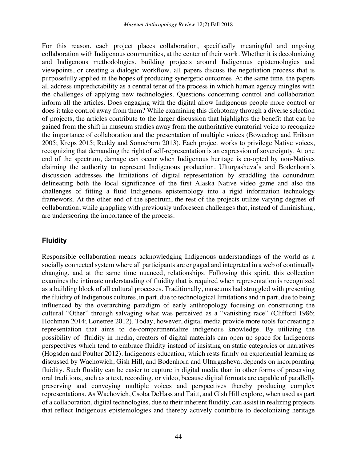For this reason, each project places collaboration, specifically meaningful and ongoing collaboration with Indigenous communities, at the center of their work. Whether it is decolonizing and Indigenous methodologies, building projects around Indigenous epistemologies and viewpoints, or creating a dialogic workflow, all papers discuss the negotiation process that is purposefully applied in the hopes of producing synergetic outcomes. At the same time, the papers all address unpredictability as a central tenet of the process in which human agency mingles with the challenges of applying new technologies. Questions concerning control and collaboration inform all the articles. Does engaging with the digital allow Indigenous people more control or does it take control away from them? While examining this dichotomy through a diverse selection of projects, the articles contribute to the larger discussion that highlights the benefit that can be gained from the shift in museum studies away from the authoritative curatorial voice to recognize the importance of collaboration and the presentation of multiple voices (Bowechop and Erikson 2005; Kreps 2015; Reddy and Sonneborn 2013). Each project works to privilege Native voices, recognizing that demanding the right of self-representation is an expression of sovereignty. At one end of the spectrum, damage can occur when Indigenous heritage is co-opted by non-Natives claiming the authority to represent Indigenous production. Ulturgasheva's and Bodenhorn's discussion addresses the limitations of digital representation by straddling the conundrum delineating both the local significance of the first Alaska Native video game and also the challenges of fitting a fluid Indigenous epistemology into a rigid information technology framework. At the other end of the spectrum, the rest of the projects utilize varying degrees of collaboration, while grappling with previously unforeseen challenges that, instead of diminishing, are underscoring the importance of the process.

### **Fluidity**

Responsible collaboration means acknowledging Indigenous understandings of the world as a socially connected system where all participants are engaged and integrated in a web of continually changing, and at the same time nuanced, relationships. Following this spirit, this collection examines the intimate understanding of fluidity that is required when representation is recognized as a building block of all cultural processes. Traditionally, museums had struggled with presenting the fluidity of Indigenous cultures, in part, due to technological limitations and in part, due to being influenced by the overarching paradigm of early anthropology focusing on constructing the cultural "Other" through salvaging what was perceived as a "vanishing race" (Clifford 1986; Hochman 2014; Lonetree 2012). Today, however, digital media provide more tools for creating a representation that aims to de-compartmentalize indigenous knowledge. By utilizing the possibility of fluidity in media, creators of digital materials can open up space for Indigenous perspectives which tend to embrace fluidity instead of insisting on static categories or narratives (Hogsden and Poulter 2012). Indigenous education, which rests firmly on experiential learning as discussed by Wachowich, Gish Hill, and Bodenhorn and Ulturgasheva, depends on incorporating fluidity. Such fluidity can be easier to capture in digital media than in other forms of preserving oral traditions, such as a text, recording, or video, because digital formats are capable of parallelly preserving and conveying multiple voices and perspectives thereby producing complex representations. As Wachovich, Csoba DeHass and Taitt, and Gish Hill explore, when used as part of a collaboration, digital technologies, due to their inherent fluidity, can assist in realizing projects that reflect Indigenous epistemologies and thereby actively contribute to decolonizing heritage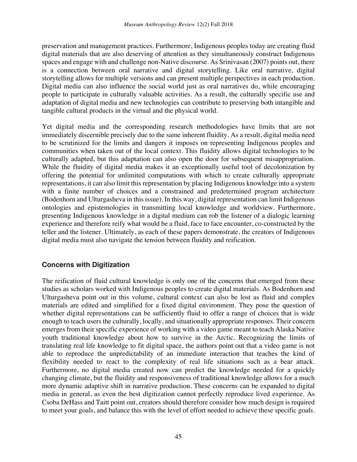preservation and management practices. Furthermore, Indigenous peoples today are creating fluid digital materials that are also deserving of attention as they simultaneously construct Indigenous spaces and engage with and challenge non-Native discourse. As Srinivasan (2007) points out, there is a connection between oral narrative and digital storytelling. Like oral narrative, digital storytelling allows for multiple versions and can present multiple perspectives in each production. Digital media can also influence the social world just as oral narratives do, while encouraging people to participate in culturally valuable activities. As a result, the culturally specific use and adaptation of digital media and new technologies can contribute to preserving both intangible and tangible cultural products in the virtual and the physical world.

Yet digital media and the corresponding research methodologies have limits that are not immediately discernible precisely due to the same inherent fluidity. As a result, digital media need to be scrutinized for the limits and dangers it imposes on representing Indigenous peoples and communities when taken out of the local context. This fluidity allows digital technologies to be culturally adapted, but this adaptation can also open the door for subsequent misappropriation. While the fluidity of digital media makes it an exceptionally useful tool of decolonization by offering the potential for unlimited computations with which to create culturally appropriate representations, it can also limit this representation by placing Indigenous knowledge into a system with a finite number of choices and a constrained and predetermined program architecture (Bodenhorn and Ulturgasheva in this issue). In this way, digital representation can limit Indigenous ontologies and epistemologies in transmitting local knowledge and worldview. Furthermore, presenting Indigenous knowledge in a digital medium can rob the listener of a dialogic learning experience and therefore reify what would be a fluid, face to face encounter, co-constructed by the teller and the listener. Ultimately, as each of these papers demonstrate, the creators of Indigenous digital media must also navigate the tension between fluidity and reification.

## **Concerns with Digitization**

The reification of fluid cultural knowledge is only one of the concerns that emerged from these studies as scholars worked with Indigenous peoples to create digital materials. As Bodenhorn and Ulturgasheva point out in this volume, cultural context can also be lost as fluid and complex materials are edited and simplified for a fixed digital environment. They pose the question of whether digital representations can be sufficiently fluid to offer a range of choices that is wide enough to teach users the culturally, locally, and situationally appropriate responses. Their concern emerges from their specific experience of working with a video game meant to teach Alaska Native youth traditional knowledge about how to survive in the Arctic. Recognizing the limits of translating real life knowledge to fit digital space, the authors point out that a video game is not able to reproduce the unpredictability of an immediate interaction that teaches the kind of flexibility needed to react to the complexity of real life situations such as a bear attack. Furthermore, no digital media created now can predict the knowledge needed for a quickly changing climate, but the fluidity and responsiveness of traditional knowledge allows for a much more dynamic adaptive shift in narrative production. These concerns can be expanded to digital media in general, as even the best digitization cannot perfectly reproduce lived experience. As Csoba DeHass and Taitt point out, creators should therefore consider how much design is required to meet your goals, and balance this with the level of effort needed to achieve these specific goals.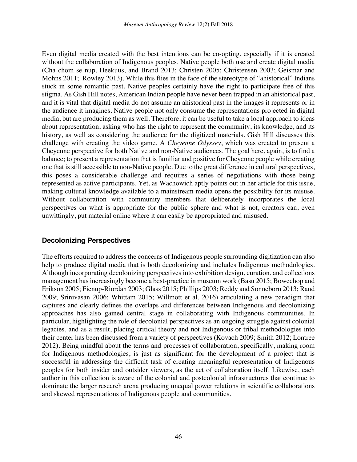Even digital media created with the best intentions can be co-opting, especially if it is created without the collaboration of Indigenous peoples. Native people both use and create digital media (Cha chom se nup, Heekuus, and Brand 2013; Christen 2005; Christensen 2003; Geismar and Mohns 2011; Rowley 2013). While this flies in the face of the stereotype of "ahistorical" Indians stuck in some romantic past, Native peoples certainly have the right to participate free of this stigma. As Gish Hill notes, American Indian people have never been trapped in an ahistorical past, and it is vital that digital media do not assume an ahistorical past in the images it represents or in the audience it imagines. Native people not only consume the representations projected in digital media, but are producing them as well. Therefore, it can be useful to take a local approach to ideas about representation, asking who has the right to represent the community, its knowledge, and its history, as well as considering the audience for the digitized materials. Gish Hill discusses this challenge with creating the video game, A *Cheyenne Odyssey*, which was created to present a Cheyenne perspective for both Native and non-Native audiences. The goal here, again, is to find a balance; to present a representation that is familiar and positive for Cheyenne people while creating one that is still accessible to non-Native people. Due to the great difference in cultural perspectives, this poses a considerable challenge and requires a series of negotiations with those being represented as active participants. Yet, as Wachowich aptly points out in her article for this issue, making cultural knowledge available to a mainstream media opens the possibility for its misuse. Without collaboration with community members that deliberately incorporates the local perspectives on what is appropriate for the public sphere and what is not, creators can, even unwittingly, put material online where it can easily be appropriated and misused.

### **Decolonizing Perspectives**

The efforts required to address the concerns of Indigenous people surrounding digitization can also help to produce digital media that is both decolonizing and includes Indigenous methodologies. Although incorporating decolonizing perspectives into exhibition design, curation, and collections management has increasingly become a best-practice in museum work (Basu 2015; Bowechop and Erikson 2005; Fienup-Riordan 2003; Glass 2015; Phillips 2003; Reddy and Sonneborn 2013; Rand 2009; Srinivasan 2006; Whittam 2015; Willmott et al. 2016) articulating a new paradigm that captures and clearly defines the overlaps and differences between Indigenous and decolonizing approaches has also gained central stage in collaborating with Indigenous communities. In particular, highlighting the role of decolonial perspectives as an ongoing struggle against colonial legacies, and as a result, placing critical theory and not Indigenous or tribal methodologies into their center has been discussed from a variety of perspectives (Kovach 2009; Smith 2012; Lontree 2012). Being mindful about the terms and processes of collaboration, specifically, making room for Indigenous methodologies, is just as significant for the development of a project that is successful in addressing the difficult task of creating meaningful representation of Indigenous peoples for both insider and outsider viewers, as the act of collaboration itself. Likewise, each author in this collection is aware of the colonial and postcolonial infrastructures that continue to dominate the larger research arena producing unequal power relations in scientific collaborations and skewed representations of Indigenous people and communities.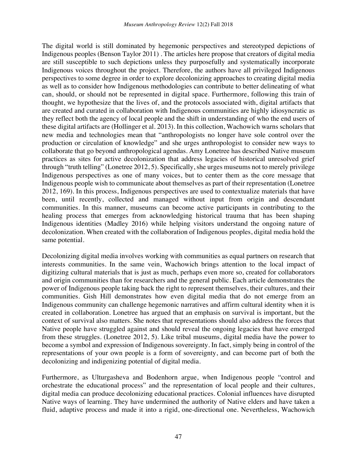The digital world is still dominated by hegemonic perspectives and stereotyped depictions of Indigenous peoples (Benson Taylor 2011) . The articles here propose that creators of digital media are still susceptible to such depictions unless they purposefully and systematically incorporate Indigenous voices throughout the project. Therefore, the authors have all privileged Indigenous perspectives to some degree in order to explore decolonizing approaches to creating digital media as well as to consider how Indigenous methodologies can contribute to better delineating of what can, should, or should not be represented in digital space. Furthermore, following this train of thought, we hypothesize that the lives of, and the protocols associated with, digital artifacts that are created and curated in collaboration with Indigenous communities are highly idiosyncratic as they reflect both the agency of local people and the shift in understanding of who the end users of these digital artifacts are (Hollinger et al. 2013). In this collection, Wachowich warns scholars that new media and technologies mean that "anthropologists no longer have sole control over the production or circulation of knowledge" and she urges anthropologist to consider new ways to collaborate that go beyond anthropological agendas. Amy Lonetree has described Native museum practices as sites for active decolonization that address legacies of historical unresolved grief through "truth telling" (Lonetree 2012, 5). Specifically, she urges museums not to merely privilege Indigenous perspectives as one of many voices, but to center them as the core message that Indigenous people wish to communicate about themselves as part of their representation (Lonetree 2012, 169). In this process, Indigenous perspectives are used to contextualize materials that have been, until recently, collected and managed without input from origin and descendant communities. In this manner, museums can become active participants in contributing to the healing process that emerges from acknowledging historical trauma that has been shaping Indigenous identities (Madley 2016) while helping visitors understand the ongoing nature of decolonization. When created with the collaboration of Indigenous peoples, digital media hold the same potential.

Decolonizing digital media involves working with communities as equal partners on research that interests communities. In the same vein, Wachowich brings attention to the local impact of digitizing cultural materials that is just as much, perhaps even more so, created for collaborators and origin communities than for researchers and the general public. Each article demonstrates the power of Indigenous people taking back the right to represent themselves, their cultures, and their communities. Gish Hill demonstrates how even digital media that do not emerge from an Indigenous community can challenge hegemonic narratives and affirm cultural identity when it is created in collaboration. Lonetree has argued that an emphasis on survival is important, but the context of survival also matters. She notes that representations should also address the forces that Native people have struggled against and should reveal the ongoing legacies that have emerged from these struggles. (Lonetree 2012, 5). Like tribal museums, digital media have the power to become a symbol and expression of Indigenous sovereignty. In fact, simply being in control of the representations of your own people is a form of sovereignty, and can become part of both the decolonizing and indigenizing potential of digital media.

Furthermore, as Ulturgasheva and Bodenhorn argue, when Indigenous people "control and orchestrate the educational process" and the representation of local people and their cultures, digital media can produce decolonizing educational practices. Colonial influences have disrupted Native ways of learning. They have undermined the authority of Native elders and have taken a fluid, adaptive process and made it into a rigid, one-directional one. Nevertheless, Wachowich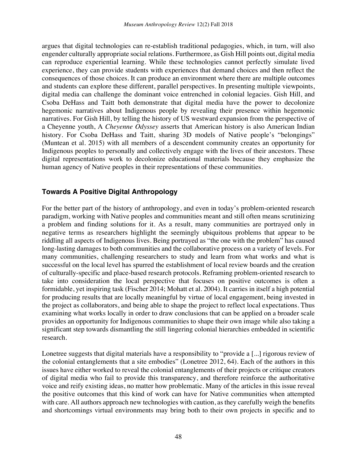argues that digital technologies can re-establish traditional pedagogies, which, in turn, will also engender culturally appropriate social relations. Furthermore, as Gish Hill points out, digital media can reproduce experiential learning. While these technologies cannot perfectly simulate lived experience, they can provide students with experiences that demand choices and then reflect the consequences of those choices. It can produce an environment where there are multiple outcomes and students can explore these different, parallel perspectives. In presenting multiple viewpoints, digital media can challenge the dominant voice entrenched in colonial legacies. Gish Hill, and Csoba DeHass and Taitt both demonstrate that digital media have the power to decolonize hegemonic narratives about Indigenous people by revealing their presence within hegemonic narratives. For Gish Hill, by telling the history of US westward expansion from the perspective of a Cheyenne youth, A *Cheyenne Odyssey* asserts that American history is also American Indian history. For Csoba DeHass and Taitt, sharing 3D models of Native people's "belongings" (Muntean et al. 2015) with all members of a descendent community creates an opportunity for Indigenous peoples to personally and collectively engage with the lives of their ancestors. These digital representations work to decolonize educational materials because they emphasize the human agency of Native peoples in their representations of these communities.

## **Towards A Positive Digital Anthropology**

For the better part of the history of anthropology, and even in today's problem-oriented research paradigm, working with Native peoples and communities meant and still often means scrutinizing a problem and finding solutions for it. As a result, many communities are portrayed only in negative terms as researchers highlight the seemingly ubiquitous problems that appear to be riddling all aspects of Indigenous lives. Being portrayed as "the one with the problem" has caused long-lasting damages to both communities and the collaborative process on a variety of levels. For many communities, challenging researchers to study and learn from what works and what is successful on the local level has spurred the establishment of local review boards and the creation of culturally-specific and place-based research protocols. Reframing problem-oriented research to take into consideration the local perspective that focuses on positive outcomes is often a formidable, yet inspiring task (Fischer 2014; Mohatt et al. 2004). It carries in itself a high potential for producing results that are locally meaningful by virtue of local engagement, being invested in the project as collaborators, and being able to shape the project to reflect local expectations. Thus examining what works locally in order to draw conclusions that can be applied on a broader scale provides an opportunity for Indigenous communities to shape their own image while also taking a significant step towards dismantling the still lingering colonial hierarchies embedded in scientific research.

Lonetree suggests that digital materials have a responsibility to "provide a [...] rigorous review of the colonial entanglements that a site embodies" (Lonetree 2012, 64). Each of the authors in this issues have either worked to reveal the colonial entanglements of their projects or critique creators of digital media who fail to provide this transparency, and therefore reinforce the authoritative voice and reify existing ideas, no matter how problematic. Many of the articles in this issue reveal the positive outcomes that this kind of work can have for Native communities when attempted with care. All authors approach new technologies with caution, as they carefully weigh the benefits and shortcomings virtual environments may bring both to their own projects in specific and to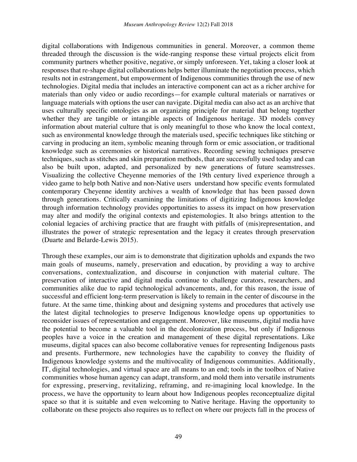digital collaborations with Indigenous communities in general. Moreover, a common theme threaded through the discussion is the wide-ranging response these virtual projects elicit from community partners whether positive, negative, or simply unforeseen. Yet, taking a closer look at responses that re-shape digital collaborations helps better illuminate the negotiation process, which results not in estrangement, but empowerment of Indigenous communities through the use of new technologies. Digital media that includes an interactive component can act as a richer archive for materials than only video or audio recordings—for example cultural materials or narratives or language materials with options the user can navigate. Digital media can also act as an archive that uses culturally specific ontologies as an organizing principle for material that belong together whether they are tangible or intangible aspects of Indigenous heritage. 3D models convey information about material culture that is only meaningful to those who know the local context, such as environmental knowledge through the materials used, specific techniques like stitching or carving in producing an item, symbolic meaning through form or emic association, or traditional knowledge such as ceremonies or historical narratives. Recording sewing techniques preserve techniques, such as stitches and skin preparation methods, that are successfully used today and can also be built upon, adapted, and personalized by new generations of future seamstresses. Visualizing the collective Cheyenne memories of the 19th century lived experience through a video game to help both Native and non-Native users understand how specific events formulated contemporary Cheyenne identity archives a wealth of knowledge that has been passed down through generations. Critically examining the limitations of digitizing Indigenous knowledge through information technology provides opportunities to assess its impact on how preservation may alter and modify the original contexts and epistemologies. It also brings attention to the colonial legacies of archiving practice that are fraught with pitfalls of (mis)representation, and illustrates the power of strategic representation and the legacy it creates through preservation (Duarte and Belarde-Lewis 2015).

Through these examples, our aim is to demonstrate that digitization upholds and expands the two main goals of museums, namely, preservation and education, by providing a way to archive conversations, contextualization, and discourse in conjunction with material culture. The preservation of interactive and digital media continue to challenge curators, researchers, and communities alike due to rapid technological advancements, and, for this reason, the issue of successful and efficient long-term preservation is likely to remain in the center of discourse in the future. At the same time, thinking about and designing systems and procedures that actively use the latest digital technologies to preserve Indigenous knowledge opens up opportunities to reconsider issues of representation and engagement. Moreover, like museums, digital media have the potential to become a valuable tool in the decolonization process, but only if Indigenous peoples have a voice in the creation and management of these digital representations. Like museums, digital spaces can also become collaborative venues for representing Indigenous pasts and presents. Furthermore, new technologies have the capability to convey the fluidity of Indigenous knowledge systems and the multivocality of Indigenous communities. Additionally, IT, digital technologies, and virtual space are all means to an end; tools in the toolbox of Native communities whose human agency can adapt, transform, and mold them into versatile instruments for expressing, preserving, revitalizing, reframing, and re-imagining local knowledge. In the process, we have the opportunity to learn about how Indigenous peoples reconceptualize digital space so that it is suitable and even welcoming to Native heritage. Having the opportunity to collaborate on these projects also requires us to reflect on where our projects fall in the process of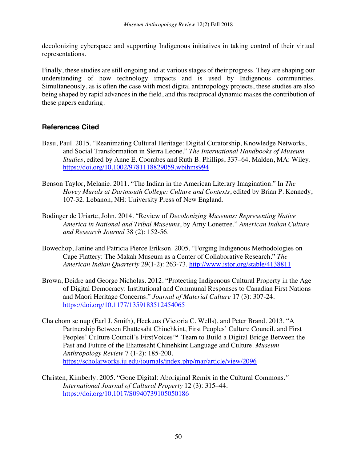decolonizing cyberspace and supporting Indigenous initiatives in taking control of their virtual representations.

Finally, these studies are still ongoing and at various stages of their progress. They are shaping our understanding of how technology impacts and is used by Indigenous communities. Simultaneously, as is often the case with most digital anthropology projects, these studies are also being shaped by rapid advances in the field, and this reciprocal dynamic makes the contribution of these papers enduring.

## **References Cited**

- Basu, Paul. 2015. "Reanimating Cultural Heritage: Digital Curatorship, Knowledge Networks, and Social Transformation in Sierra Leone." *The International Handbooks of Museum Studies*, edited by Anne E. Coombes and Ruth B. Phillips, 337–64. Malden, MA: Wiley. https://doi.org/10.1002/9781118829059.wbihms994
- Benson Taylor, Melanie. 2011. "The Indian in the American Literary Imagination." In *The Hovey Murals at Dartmouth College: Culture and Contexts*, edited by Brian P. Kennedy, 107-32. Lebanon, NH: University Press of New England.
- Bodinger de Uriarte, John. 2014. "Review of *Decolonizing Museums: Representing Native America in National and Tribal Museums*, by Amy Lonetree." *American Indian Culture and Research Journal* 38 (2): 152-56.
- Bowechop, Janine and Patricia Pierce Erikson. 2005. "Forging Indigenous Methodologies on Cape Flattery: The Makah Museum as a Center of Collaborative Research." *The American Indian Quarterly* 29(1-2): 263-73. http://www.jstor.org/stable/4138811
- Brown, Deidre and George Nicholas. 2012. "Protecting Indigenous Cultural Property in the Age of Digital Democracy: Institutional and Communal Responses to Canadian First Nations and Māori Heritage Concerns." *Journal of Material Culture* 17 (3): 307-24. https://doi.org/10.1177/1359183512454065
- Cha chom se nup (Earl J. Smith), Heekuus (Victoria C. Wells), and Peter Brand. 2013. "A Partnership Between Ehattesaht Chinehkint, First Peoples' Culture Council, and First Peoples' Culture Council's FirstVoices<sup>™</sup> Team to Build a Digital Bridge Between the Past and Future of the Ehattesaht Chinehkint Language and Culture. *Museum Anthropology Review* 7 (1-2): 185-200. https://scholarworks.iu.edu/journals/index.php/mar/article/view/2096
- Christen, Kimberly. 2005. "Gone Digital: Aboriginal Remix in the Cultural Commons*." International Journal of Cultural Property* 12 (3): 315–44. https://doi.org/10.1017/S0940739105050186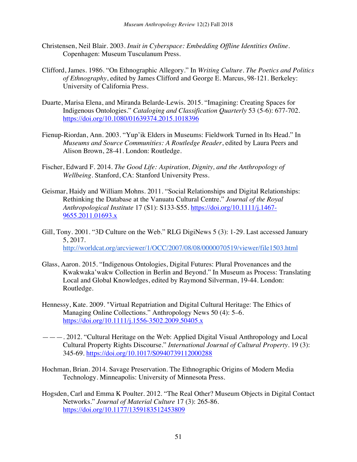- Christensen, Neil Blair. 2003. *Inuit in Cyberspace: Embedding Offline Identities Online*. Copenhagen: Museum Tusculanum Press.
- Clifford, James. 1986. "On Ethnographic Allegory." In *Writing Culture. The Poetics and Politics of Ethnography*, edited by James Clifford and George E. Marcus, 98-121. Berkeley: University of California Press.
- Duarte, Marisa Elena, and Miranda Belarde-Lewis. 2015. "Imagining: Creating Spaces for Indigenous Ontologies." *Cataloging and Classification Quarterly* 53 (5-6): 677-702. https://doi.org/10.1080/01639374.2015.1018396
- Fienup-Riordan, Ann. 2003. "Yup'ik Elders in Museums: Fieldwork Turned in Its Head." In *Museums and Source Communities: A Routledge Reader*, edited by Laura Peers and Alison Brown, 28-41. London: Routledge.
- Fischer, Edward F. 2014. *The Good Life: Aspiration, Dignity, and the Anthropology of Wellbeing*. Stanford, CA: Stanford University Press.
- Geismar, Haidy and William Mohns. 2011. "Social Relationships and Digital Relationships: Rethinking the Database at the Vanuatu Cultural Centre." *Journal of the Royal Anthropological Institute* 17 (S1): S133-S55. https://doi.org/10.1111/j.1467- 9655.2011.01693.x
- Gill, Tony. 2001. "3D Culture on the Web." RLG DigiNews 5 (3): 1-29. Last accessed January 5, 2017. http://worldcat.org/arcviewer/1/OCC/2007/08/08/0000070519/viewer/file1503.html
- Glass, Aaron. 2015. "Indigenous Ontologies, Digital Futures: Plural Provenances and the Kwakwaka'wakw Collection in Berlin and Beyond." In Museum as Process: Translating Local and Global Knowledges, edited by Raymond Silverman, 19-44. London: Routledge.
- Hennessy, Kate. 2009. "Virtual Repatriation and Digital Cultural Heritage: The Ethics of Managing Online Collections." Anthropology News 50 (4): 5–6. https://doi.org/10.1111/j.1556-3502.2009.50405.x
- ———. 2012. "Cultural Heritage on the Web: Applied Digital Visual Anthropology and Local Cultural Property Rights Discourse." *International Journal of Cultural Property*. 19 (3): 345-69. https://doi.org/10.1017/S0940739112000288
- Hochman, Brian. 2014. Savage Preservation. The Ethnographic Origins of Modern Media Technology. Minneapolis: University of Minnesota Press.
- Hogsden, Carl and Emma K Poulter. 2012. "The Real Other? Museum Objects in Digital Contact Networks." *Journal of Material Culture* 17 (3): 265-86. https://doi.org/10.1177/1359183512453809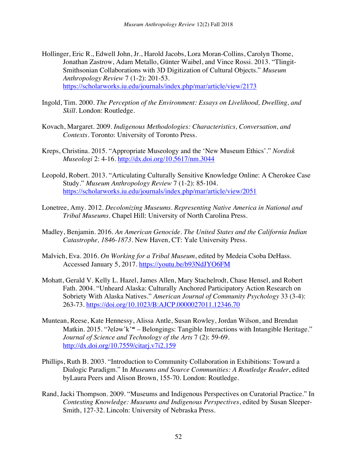- Hollinger, Eric R., Edwell John, Jr., Harold Jacobs, Lora Moran-Collins, Carolyn Thome, Jonathan Zastrow, Adam Metallo, Günter Waibel, and Vince Rossi. 2013. "Tlingit-Smithsonian Collaborations with 3D Digitization of Cultural Objects." *Museum Anthropology Review* 7 (1-2): 201-53. https://scholarworks.iu.edu/journals/index.php/mar/article/view/2173
- Ingold, Tim. 2000. *The Perception of the Environment: Essays on Livelihood, Dwelling, and Skill*. London: Routledge.
- Kovach, Margaret. 2009. *Indigenous Methodologies: Characteristics, Conversation, and Contexts*. Toronto: University of Toronto Press.
- Kreps, Christina. 2015. "Appropriate Museology and the 'New Museum Ethics'." *Nordisk Museologi* 2: 4-16. http://dx.doi.org/10.5617/nm.3044
- Leopold, Robert. 2013. "Articulating Culturally Sensitive Knowledge Online: A Cherokee Case Study." *Museum Anthropology Review* 7 (1-2): 85-104. https://scholarworks.iu.edu/journals/index.php/mar/article/view/2051
- Lonetree, Amy. 2012. *Decolonizing Museums. Representing Native America in National and Tribal Museums*. Chapel Hill: University of North Carolina Press.
- Madley, Benjamin. 2016. *An American Genocide. The United States and the California Indian Catastrophe, 1846-1873*. New Haven, CT: Yale University Press.
- Malvich, Eva. 2016. *On Working for a Tribal Museum*, edited by Medeia Csoba DeHass. Accessed January 5, 2017. https://youtu.be/b93NdJYO6FM
- Mohatt, Gerald V. Kelly L. Hazel, James Allen, Mary Stachelrodt, Chase Hensel, and Robert Fath. 2004. "Unheard Alaska: Culturally Anchored Participatory Action Research on Sobriety With Alaska Natives." *American Journal of Community Psychology* 33 (3-4): 263-73. https://doi.org/10.1023/B:AJCP.0000027011.12346.70
- Muntean, Reese, Kate Hennessy, Alissa Antle, Susan Rowley, Jordan Wilson, and Brendan Matkin. 2015. "Peləw'k'<sup>w</sup> – Belongings: Tangible Interactions with Intangible Heritage." *Journal of Science and Technology of the Arts* 7 (2): 59-69. http://dx.doi.org/10.7559/citarj.v7i2.159
- Phillips, Ruth B. 2003. "Introduction to Community Collaboration in Exhibitions: Toward a Dialogic Paradigm." In *Museums and Source Communities: A Routledge Reader*, edited byLaura Peers and Alison Brown, 155-70. London: Routledge.
- Rand, Jacki Thompson. 2009. "Museums and Indigenous Perspectives on Curatorial Practice." In *Contesting Knowledge: Museums and Indigenous Perspectives*, edited by Susan Sleeper-Smith, 127-32. Lincoln: University of Nebraska Press.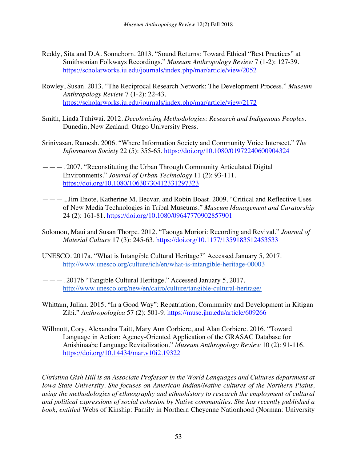- Reddy, Sita and D.A. Sonneborn. 2013. "Sound Returns: Toward Ethical "Best Practices" at Smithsonian Folkways Recordings." *Museum Anthropology Review* 7 (1-2): 127-39. https://scholarworks.iu.edu/journals/index.php/mar/article/view/2052
- Rowley, Susan. 2013. "The Reciprocal Research Network: The Development Process." *Museum Anthropology Review* 7 (1-2): 22-43. https://scholarworks.iu.edu/journals/index.php/mar/article/view/2172
- Smith, Linda Tuhiwai. 2012. *Decolonizing Methodologies: Research and Indigenous Peoples*. Dunedin, New Zealand: Otago University Press.
- Srinivasan, Ramesh. 2006. "Where Information Society and Community Voice Intersect." *The Information Society* 22 (5): 355-65. https://doi.org/10.1080/01972240600904324
- ———. 2007. "Reconstituting the Urban Through Community Articulated Digital Environments." *Journal of Urban Technology* 11 (2): 93-111. https://doi.org/10.1080/10630730412331297323
- ———., Jim Enote, Katherine M. Becvar, and Robin Boast. 2009. "Critical and Reflective Uses of New Media Technologies in Tribal Museums." *Museum Management and Curatorship* 24 (2): 161-81. https://doi.org/10.1080/09647770902857901
- Solomon, Maui and Susan Thorpe. 2012. "Taonga Moriori: Recording and Revival." *Journal of Material Culture* 17 (3): 245-63. https://doi.org/10.1177/1359183512453533
- UNESCO. 2017a. "What is Intangible Cultural Heritage?" Accessed January 5, 2017. http://www.unesco.org/culture/ich/en/what-is-intangible-heritage-00003
- ———. 2017b "Tangible Cultural Heritage." Accessed January 5, 2017. http://www.unesco.org/new/en/cairo/culture/tangible-cultural-heritage/
- Whittam, Julian. 2015. "In a Good Way": Repatriation, Community and Development in Kitigan Zibi." *Anthropologica* 57 (2): 501-9. https://muse.jhu.edu/article/609266
- Willmott, Cory, Alexandra Taitt, Mary Ann Corbiere, and Alan Corbiere. 2016. "Toward Language in Action: Agency-Oriented Application of the GRASAC Database for Anishinaabe Language Revitalization." *Museum Anthropology Review* 10 (2): 91-116. https://doi.org/10.14434/mar.v10i2.19322

*Christina Gish Hill is an Associate Professor in the World Languages and Cultures department at Iowa State University. She focuses on American Indian/Native cultures of the Northern Plains, using the methodologies of ethnography and ethnohistory to research the employment of cultural and political expressions of social cohesion by Native communities. She has recently published a book, entitled* Webs of Kinship: Family in Northern Cheyenne Nationhood (Norman: University